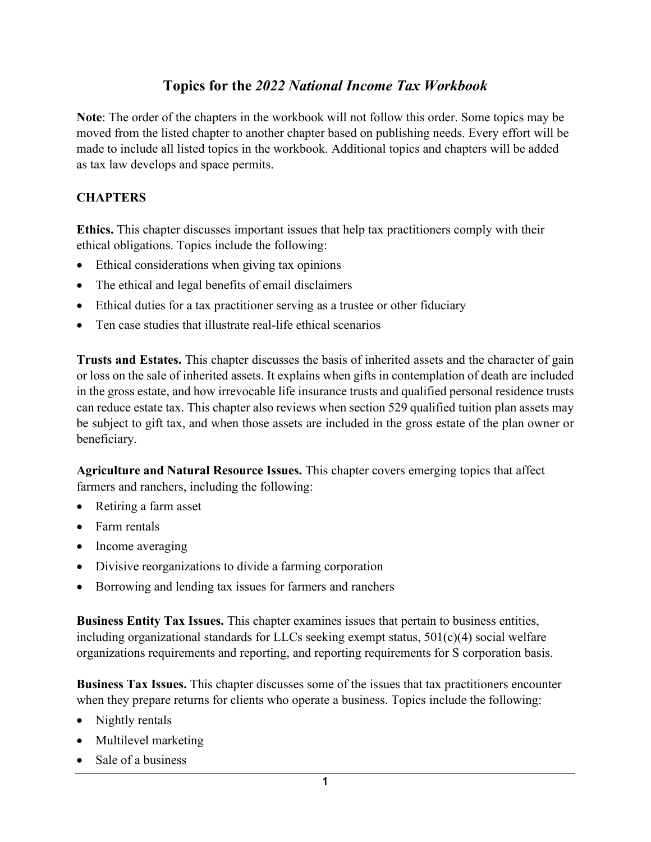## **Topics for the** *2022 National Income Tax Workbook*

**Note**: The order of the chapters in the workbook will not follow this order. Some topics may be moved from the listed chapter to another chapter based on publishing needs. Every effort will be made to include all listed topics in the workbook. Additional topics and chapters will be added as tax law develops and space permits.

## **CHAPTERS**

**Ethics.** This chapter discusses important issues that help tax practitioners comply with their ethical obligations. Topics include the following:

- Ethical considerations when giving tax opinions
- The ethical and legal benefits of email disclaimers
- Ethical duties for a tax practitioner serving as a trustee or other fiduciary
- Ten case studies that illustrate real-life ethical scenarios

**Trusts and Estates.** This chapter discusses the basis of inherited assets and the character of gain or loss on the sale of inherited assets. It explains when gifts in contemplation of death are included in the gross estate, and how irrevocable life insurance trusts and qualified personal residence trusts can reduce estate tax. This chapter also reviews when section 529 qualified tuition plan assets may be subject to gift tax, and when those assets are included in the gross estate of the plan owner or beneficiary.

**Agriculture and Natural Resource Issues.** This chapter covers emerging topics that affect farmers and ranchers, including the following:

- Retiring a farm asset
- Farm rentals
- Income averaging
- Divisive reorganizations to divide a farming corporation
- Borrowing and lending tax issues for farmers and ranchers

**Business Entity Tax Issues.** This chapter examines issues that pertain to business entities, including organizational standards for LLCs seeking exempt status, 501(c)(4) social welfare organizations requirements and reporting, and reporting requirements for S corporation basis.

**Business Tax Issues.** This chapter discusses some of the issues that tax practitioners encounter when they prepare returns for clients who operate a business. Topics include the following:

- Nightly rentals
- Multilevel marketing
- Sale of a business